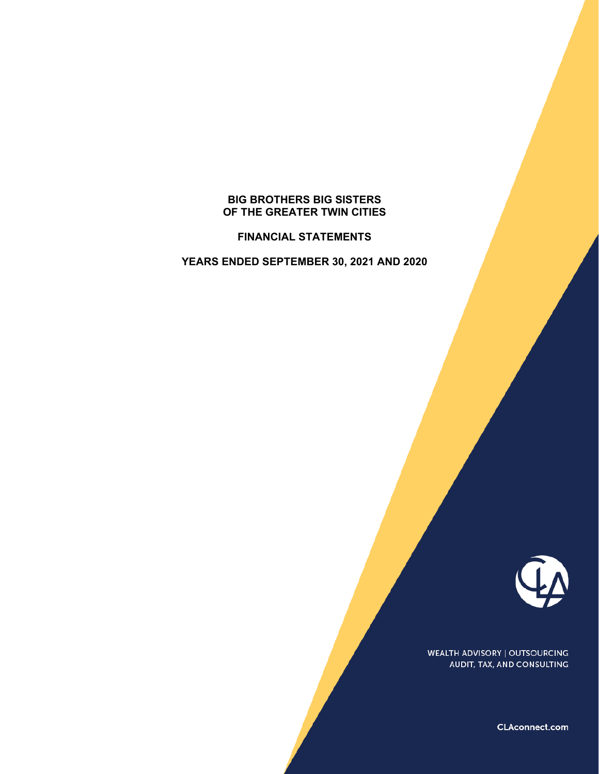# **BIG BROTHERS BIG SISTERS OF THE GREATER TWIN CITIES**

**FINANCIAL STATEMENTS** 

**YEARS ENDED SEPTEMBER 30, 2021 AND 2020** 



WEALTH ADVISORY | OUTSOURCING AUDIT, TAX, AND CONSULTING

CLAconnect.com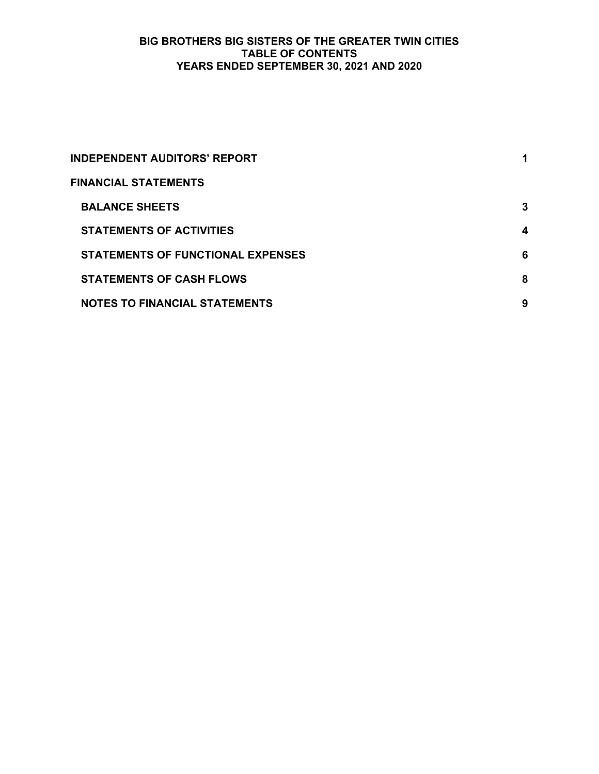# **BIG BROTHERS BIG SISTERS OF THE GREATER TWIN CITIES TABLE OF CONTENTS YEARS ENDED SEPTEMBER 30, 2021 AND 2020**

| <b>INDEPENDENT AUDITORS' REPORT</b>  |   |
|--------------------------------------|---|
| <b>FINANCIAL STATEMENTS</b>          |   |
| <b>BALANCE SHEETS</b>                | 3 |
| <b>STATEMENTS OF ACTIVITIES</b>      | 4 |
| STATEMENTS OF FUNCTIONAL EXPENSES    | 6 |
| <b>STATEMENTS OF CASH FLOWS</b>      | 8 |
| <b>NOTES TO FINANCIAL STATEMENTS</b> | 9 |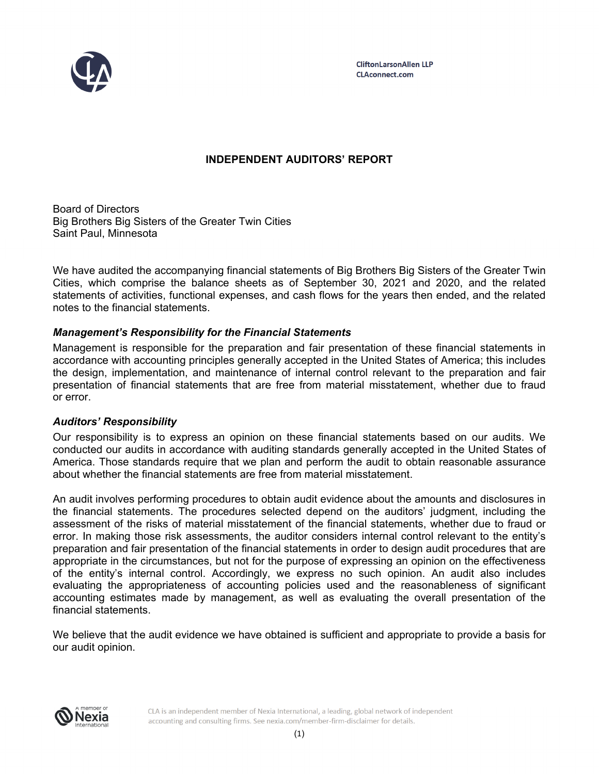

# **INDEPENDENT AUDITORS' REPORT**

Board of Directors Big Brothers Big Sisters of the Greater Twin Cities Saint Paul, Minnesota

We have audited the accompanying financial statements of Big Brothers Big Sisters of the Greater Twin Cities, which comprise the balance sheets as of September 30, 2021 and 2020, and the related statements of activities, functional expenses, and cash flows for the years then ended, and the related notes to the financial statements.

# *Management's Responsibility for the Financial Statements*

Management is responsible for the preparation and fair presentation of these financial statements in accordance with accounting principles generally accepted in the United States of America; this includes the design, implementation, and maintenance of internal control relevant to the preparation and fair presentation of financial statements that are free from material misstatement, whether due to fraud or error.

# *Auditors' Responsibility*

Our responsibility is to express an opinion on these financial statements based on our audits. We conducted our audits in accordance with auditing standards generally accepted in the United States of America. Those standards require that we plan and perform the audit to obtain reasonable assurance about whether the financial statements are free from material misstatement.

An audit involves performing procedures to obtain audit evidence about the amounts and disclosures in the financial statements. The procedures selected depend on the auditors' judgment, including the assessment of the risks of material misstatement of the financial statements, whether due to fraud or error. In making those risk assessments, the auditor considers internal control relevant to the entity's preparation and fair presentation of the financial statements in order to design audit procedures that are appropriate in the circumstances, but not for the purpose of expressing an opinion on the effectiveness of the entity's internal control. Accordingly, we express no such opinion. An audit also includes evaluating the appropriateness of accounting policies used and the reasonableness of significant accounting estimates made by management, as well as evaluating the overall presentation of the financial statements.

We believe that the audit evidence we have obtained is sufficient and appropriate to provide a basis for our audit opinion.



CLA is an independent member of Nexia International, a leading, global network of independent accounting and consulting firms. See nexia.com/member-firm-disclaimer for details.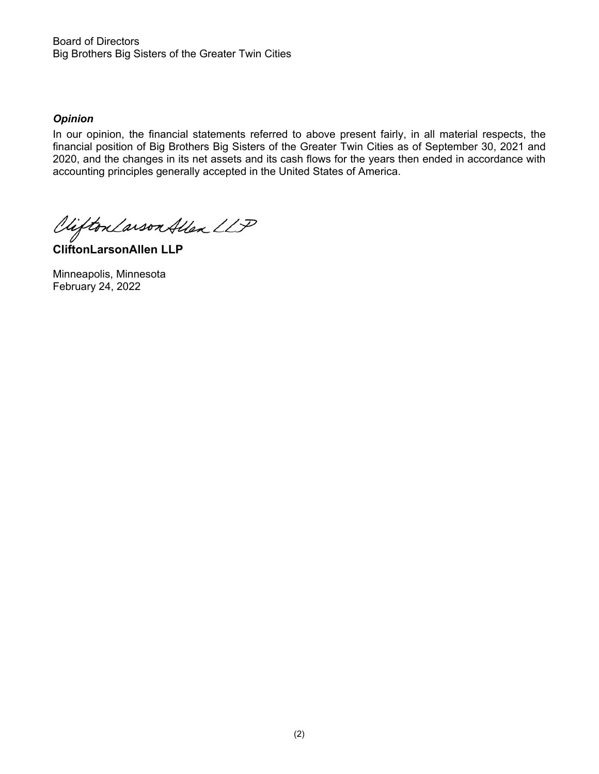Board of Directors Big Brothers Big Sisters of the Greater Twin Cities

# *Opinion*

In our opinion, the financial statements referred to above present fairly, in all material respects, the financial position of Big Brothers Big Sisters of the Greater Twin Cities as of September 30, 2021 and 2020, and the changes in its net assets and its cash flows for the years then ended in accordance with accounting principles generally accepted in the United States of America.

Viifton Larson Allen LLP

**CliftonLarsonAllen LLP** 

Minneapolis, Minnesota February 24, 2022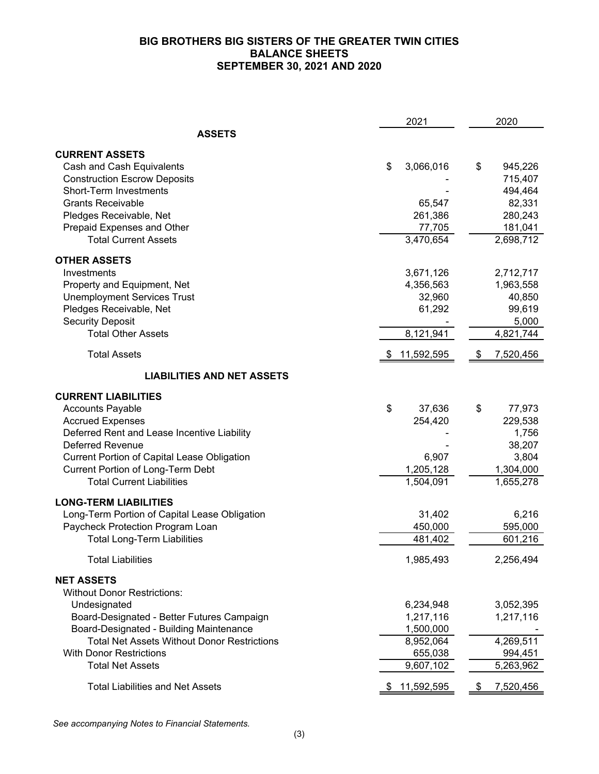# **BIG BROTHERS BIG SISTERS OF THE GREATER TWIN CITIES BALANCE SHEETS SEPTEMBER 30, 2021 AND 2020**

|                                                                               | 2021            | 2020            |
|-------------------------------------------------------------------------------|-----------------|-----------------|
| <b>ASSETS</b>                                                                 |                 |                 |
| <b>CURRENT ASSETS</b>                                                         |                 |                 |
| Cash and Cash Equivalents                                                     | 3,066,016<br>\$ | \$<br>945,226   |
| <b>Construction Escrow Deposits</b>                                           |                 | 715,407         |
| <b>Short-Term Investments</b>                                                 |                 | 494,464         |
| <b>Grants Receivable</b>                                                      | 65,547          | 82,331          |
| Pledges Receivable, Net                                                       | 261,386         | 280,243         |
| Prepaid Expenses and Other                                                    | 77,705          | 181,041         |
| <b>Total Current Assets</b>                                                   | 3,470,654       | 2,698,712       |
| <b>OTHER ASSETS</b>                                                           |                 |                 |
| Investments                                                                   | 3,671,126       | 2,712,717       |
| Property and Equipment, Net                                                   | 4,356,563       | 1,963,558       |
| <b>Unemployment Services Trust</b>                                            | 32,960          | 40,850          |
| Pledges Receivable, Net                                                       | 61,292          | 99,619          |
| <b>Security Deposit</b>                                                       |                 | 5,000           |
| <b>Total Other Assets</b>                                                     | 8,121,941       | 4,821,744       |
| <b>Total Assets</b>                                                           | \$11,592,595    | 7,520,456<br>\$ |
| <b>LIABILITIES AND NET ASSETS</b>                                             |                 |                 |
| <b>CURRENT LIABILITIES</b>                                                    |                 |                 |
| <b>Accounts Payable</b>                                                       | \$<br>37,636    | \$<br>77,973    |
| <b>Accrued Expenses</b>                                                       | 254,420         | 229,538         |
| Deferred Rent and Lease Incentive Liability                                   |                 | 1,756           |
| <b>Deferred Revenue</b>                                                       |                 | 38,207          |
| <b>Current Portion of Capital Lease Obligation</b>                            | 6,907           | 3,804           |
| <b>Current Portion of Long-Term Debt</b>                                      | 1,205,128       | 1,304,000       |
| <b>Total Current Liabilities</b>                                              | 1,504,091       | 1,655,278       |
|                                                                               |                 |                 |
| <b>LONG-TERM LIABILITIES</b><br>Long-Term Portion of Capital Lease Obligation | 31,402          | 6,216           |
| Paycheck Protection Program Loan                                              | 450,000         | 595,000         |
| <b>Total Long-Term Liabilities</b>                                            | 481,402         | 601,216         |
|                                                                               |                 |                 |
| <b>Total Liabilities</b>                                                      | 1,985,493       | 2,256,494       |
| <b>NET ASSETS</b>                                                             |                 |                 |
| <b>Without Donor Restrictions:</b>                                            |                 |                 |
| Undesignated                                                                  | 6,234,948       | 3,052,395       |
| Board-Designated - Better Futures Campaign                                    | 1,217,116       | 1,217,116       |
| Board-Designated - Building Maintenance                                       | 1,500,000       |                 |
| <b>Total Net Assets Without Donor Restrictions</b>                            | 8,952,064       | 4,269,511       |
| <b>With Donor Restrictions</b>                                                | 655,038         | 994,451         |
| <b>Total Net Assets</b>                                                       | 9,607,102       | 5,263,962       |
| <b>Total Liabilities and Net Assets</b>                                       | 11,592,595      | 7,520,456       |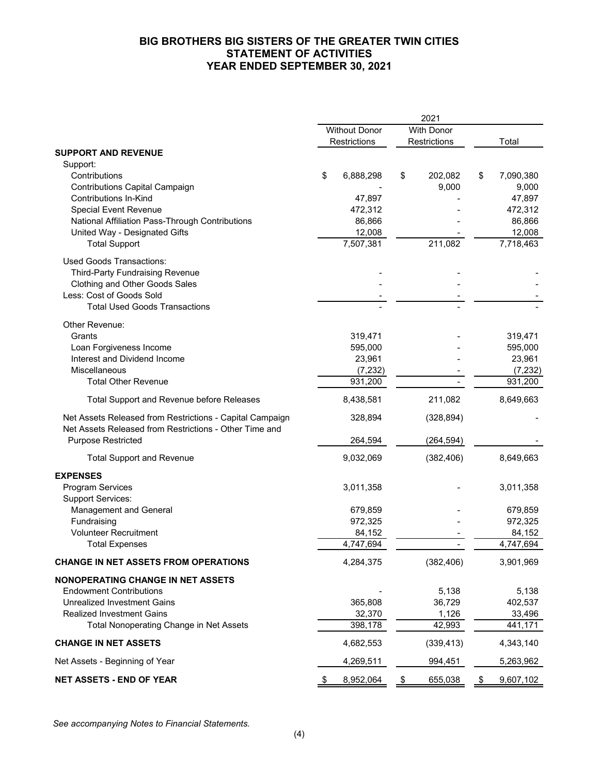# **BIG BROTHERS BIG SISTERS OF THE GREATER TWIN CITIES STATEMENT OF ACTIVITIES YEAR ENDED SEPTEMBER 30, 2021**

|                                                                                                                    | 2021 |                                      |    |                                   |    |                    |
|--------------------------------------------------------------------------------------------------------------------|------|--------------------------------------|----|-----------------------------------|----|--------------------|
|                                                                                                                    |      | <b>Without Donor</b><br>Restrictions |    | <b>With Donor</b><br>Restrictions |    | Total              |
| <b>SUPPORT AND REVENUE</b>                                                                                         |      |                                      |    |                                   |    |                    |
| Support:                                                                                                           |      |                                      |    |                                   |    |                    |
| Contributions<br>Contributions Capital Campaign                                                                    | \$   | 6,888,298                            | \$ | 202,082<br>9,000                  | \$ | 7,090,380<br>9,000 |
| <b>Contributions In-Kind</b>                                                                                       |      | 47,897                               |    |                                   |    | 47,897             |
| <b>Special Event Revenue</b>                                                                                       |      | 472,312                              |    |                                   |    | 472,312            |
| National Affiliation Pass-Through Contributions                                                                    |      | 86,866                               |    |                                   |    | 86,866             |
| United Way - Designated Gifts                                                                                      |      | 12,008                               |    |                                   |    | 12,008             |
| <b>Total Support</b>                                                                                               |      | 7,507,381                            |    | 211,082                           |    | 7,718,463          |
| <b>Used Goods Transactions:</b>                                                                                    |      |                                      |    |                                   |    |                    |
| <b>Third-Party Fundraising Revenue</b>                                                                             |      |                                      |    |                                   |    |                    |
| Clothing and Other Goods Sales<br>Less: Cost of Goods Sold                                                         |      |                                      |    |                                   |    |                    |
| <b>Total Used Goods Transactions</b>                                                                               |      |                                      |    |                                   |    |                    |
| Other Revenue:                                                                                                     |      |                                      |    |                                   |    |                    |
| Grants                                                                                                             |      | 319,471                              |    |                                   |    | 319,471            |
| Loan Forgiveness Income                                                                                            |      | 595,000                              |    |                                   |    | 595,000            |
| Interest and Dividend Income                                                                                       |      | 23,961                               |    |                                   |    | 23,961             |
| Miscellaneous                                                                                                      |      | (7, 232)                             |    |                                   |    | (7, 232)           |
| <b>Total Other Revenue</b>                                                                                         |      | 931,200                              |    |                                   |    | 931,200            |
| Total Support and Revenue before Releases                                                                          |      | 8,438,581                            |    | 211,082                           |    | 8,649,663          |
| Net Assets Released from Restrictions - Capital Campaign<br>Net Assets Released from Restrictions - Other Time and |      | 328,894                              |    | (328, 894)                        |    |                    |
| <b>Purpose Restricted</b>                                                                                          |      | 264,594                              |    | (264, 594)                        |    |                    |
| <b>Total Support and Revenue</b>                                                                                   |      | 9,032,069                            |    | (382, 406)                        |    | 8,649,663          |
| <b>EXPENSES</b>                                                                                                    |      |                                      |    |                                   |    |                    |
| <b>Program Services</b><br><b>Support Services:</b>                                                                |      | 3,011,358                            |    |                                   |    | 3,011,358          |
| Management and General                                                                                             |      | 679,859                              |    |                                   |    | 679,859            |
| Fundraising                                                                                                        |      | 972,325                              |    |                                   |    | 972,325            |
| <b>Volunteer Recruitment</b>                                                                                       |      | 84,152                               |    |                                   |    | 84,152             |
| <b>Total Expenses</b>                                                                                              |      | 4,747,694                            |    |                                   |    | 4,747,694          |
| <b>CHANGE IN NET ASSETS FROM OPERATIONS</b>                                                                        |      | 4,284,375                            |    | (382, 406)                        |    | 3,901,969          |
| <b>NONOPERATING CHANGE IN NET ASSETS</b>                                                                           |      |                                      |    |                                   |    |                    |
| <b>Endowment Contributions</b>                                                                                     |      |                                      |    | 5,138                             |    | 5,138              |
| <b>Unrealized Investment Gains</b>                                                                                 |      | 365,808                              |    | 36,729                            |    | 402,537            |
| <b>Realized Investment Gains</b><br>Total Nonoperating Change in Net Assets                                        |      | 32,370<br>398,178                    |    | 1,126<br>42,993                   |    | 33,496<br>441,171  |
| <b>CHANGE IN NET ASSETS</b>                                                                                        |      | 4,682,553                            |    | (339, 413)                        |    | 4,343,140          |
| Net Assets - Beginning of Year                                                                                     |      | 4,269,511                            |    | 994,451                           |    | 5,263,962          |
| <b>NET ASSETS - END OF YEAR</b>                                                                                    | -\$  | 8,952,064                            | \$ | 655,038                           | \$ | 9,607,102          |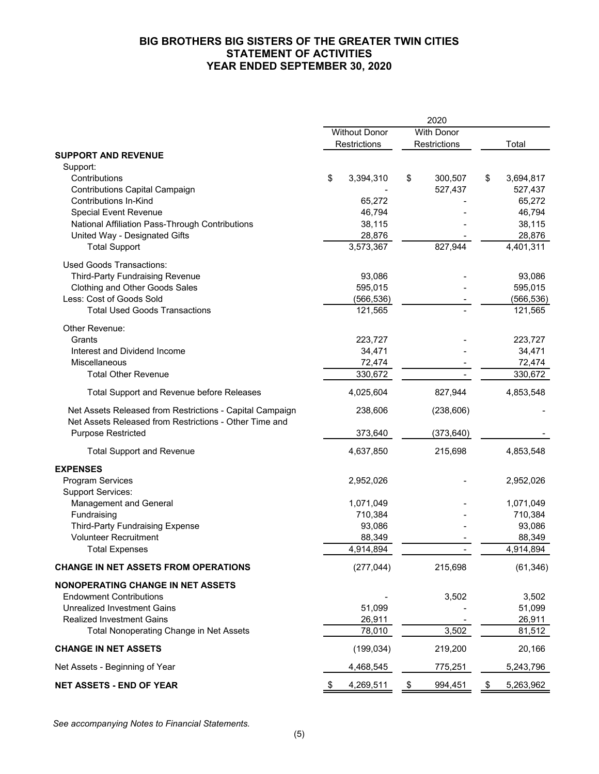# **BIG BROTHERS BIG SISTERS OF THE GREATER TWIN CITIES STATEMENT OF ACTIVITIES YEAR ENDED SEPTEMBER 30, 2020**

|                                                                                                                    | 2020                 |                  |                   |              |    |                     |
|--------------------------------------------------------------------------------------------------------------------|----------------------|------------------|-------------------|--------------|----|---------------------|
|                                                                                                                    | <b>Without Donor</b> |                  | <b>With Donor</b> |              |    |                     |
|                                                                                                                    |                      | Restrictions     |                   | Restrictions |    | Total               |
| <b>SUPPORT AND REVENUE</b>                                                                                         |                      |                  |                   |              |    |                     |
| Support:<br>Contributions                                                                                          | \$                   | 3,394,310        | \$                | 300,507      | \$ | 3,694,817           |
| <b>Contributions Capital Campaign</b>                                                                              |                      |                  |                   | 527,437      |    | 527,437             |
| <b>Contributions In-Kind</b>                                                                                       |                      | 65,272           |                   |              |    | 65,272              |
| Special Event Revenue                                                                                              |                      | 46,794           |                   |              |    | 46,794              |
| National Affiliation Pass-Through Contributions                                                                    |                      | 38,115<br>28,876 |                   |              |    | 38,115              |
| United Way - Designated Gifts<br><b>Total Support</b>                                                              |                      | 3,573,367        |                   | 827,944      |    | 28,876<br>4,401,311 |
|                                                                                                                    |                      |                  |                   |              |    |                     |
| <b>Used Goods Transactions:</b>                                                                                    |                      |                  |                   |              |    |                     |
| <b>Third-Party Fundraising Revenue</b>                                                                             |                      | 93,086           |                   |              |    | 93,086              |
| Clothing and Other Goods Sales                                                                                     |                      | 595,015          |                   |              |    | 595,015             |
| Less: Cost of Goods Sold                                                                                           |                      | (566,536)        |                   |              |    | (566, 536)          |
| <b>Total Used Goods Transactions</b>                                                                               |                      | 121,565          |                   |              |    | 121,565             |
| Other Revenue:                                                                                                     |                      |                  |                   |              |    |                     |
| Grants                                                                                                             |                      | 223,727          |                   |              |    | 223,727             |
| Interest and Dividend Income                                                                                       |                      | 34,471           |                   |              |    | 34,471              |
| Miscellaneous                                                                                                      |                      | 72,474           |                   |              |    | 72,474              |
| <b>Total Other Revenue</b>                                                                                         |                      | 330,672          |                   |              |    | 330,672             |
| Total Support and Revenue before Releases                                                                          |                      | 4,025,604        |                   | 827,944      |    | 4,853,548           |
| Net Assets Released from Restrictions - Capital Campaign<br>Net Assets Released from Restrictions - Other Time and |                      | 238,606          |                   | (238, 606)   |    |                     |
| <b>Purpose Restricted</b>                                                                                          |                      | 373,640          |                   | (373, 640)   |    |                     |
| <b>Total Support and Revenue</b>                                                                                   |                      | 4,637,850        |                   | 215,698      |    | 4,853,548           |
| <b>EXPENSES</b>                                                                                                    |                      |                  |                   |              |    |                     |
| <b>Program Services</b><br><b>Support Services:</b>                                                                |                      | 2,952,026        |                   |              |    | 2,952,026           |
| Management and General                                                                                             |                      | 1,071,049        |                   |              |    | 1,071,049           |
| Fundraising                                                                                                        |                      | 710,384          |                   |              |    | 710,384             |
| <b>Third-Party Fundraising Expense</b>                                                                             |                      | 93,086           |                   |              |    | 93,086              |
| <b>Volunteer Recruitment</b>                                                                                       |                      | 88,349           |                   |              |    | 88,349              |
| <b>Total Expenses</b>                                                                                              |                      | 4,914,894        |                   |              |    | 4,914,894           |
| <b>CHANGE IN NET ASSETS FROM OPERATIONS</b>                                                                        |                      | (277, 044)       |                   | 215,698      |    | (61, 346)           |
| <b>NONOPERATING CHANGE IN NET ASSETS</b>                                                                           |                      |                  |                   |              |    |                     |
| <b>Endowment Contributions</b>                                                                                     |                      |                  |                   | 3,502        |    | 3,502               |
| <b>Unrealized Investment Gains</b>                                                                                 |                      | 51,099           |                   |              |    | 51,099              |
| <b>Realized Investment Gains</b>                                                                                   |                      | 26,911           |                   |              |    | 26,911              |
| Total Nonoperating Change in Net Assets                                                                            |                      | 78,010           |                   | 3,502        |    | 81,512              |
| <b>CHANGE IN NET ASSETS</b>                                                                                        |                      | (199, 034)       |                   | 219,200      |    | 20,166              |
| Net Assets - Beginning of Year                                                                                     |                      | 4,468,545        |                   | 775,251      |    | 5,243,796           |
| <b>NET ASSETS - END OF YEAR</b>                                                                                    | \$                   | 4,269,511        | \$                | 994,451      | \$ | 5,263,962           |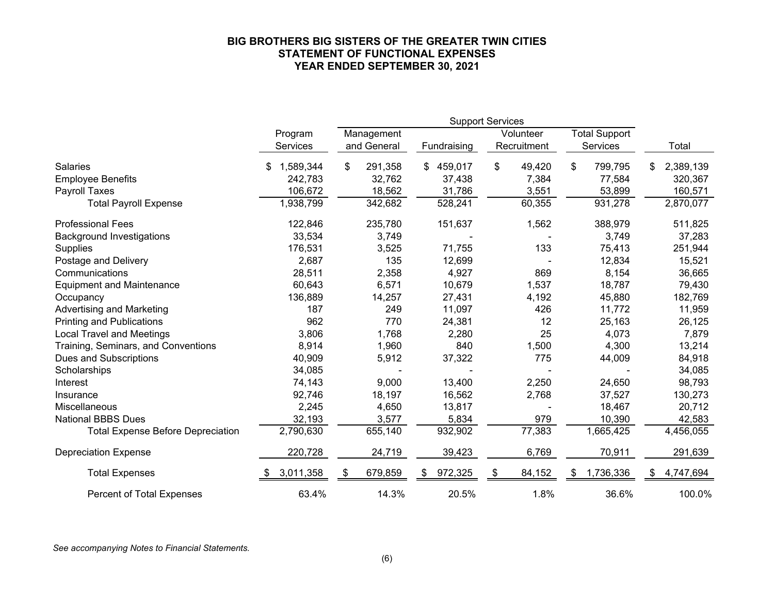#### **BIG BROTHERS BIG SISTERS OF THE GREATER TWIN CITIES STATEMENT OF FUNCTIONAL EXPENSES YEAR ENDED SEPTEMBER 30, 2021**

|                                          | <b>Support Services</b> |               |               |              |                      |           |
|------------------------------------------|-------------------------|---------------|---------------|--------------|----------------------|-----------|
|                                          | Program                 | Management    |               | Volunteer    | <b>Total Support</b> |           |
|                                          | <b>Services</b>         | and General   | Fundraising   | Recruitment  | Services             | Total     |
| Salaries                                 | 1,589,344               | \$<br>291,358 | 459,017<br>\$ | \$<br>49,420 | 799,795<br>\$        | 2,389,139 |
| <b>Employee Benefits</b>                 | 242,783                 | 32,762        | 37,438        | 7,384        | 77,584               | 320,367   |
| Payroll Taxes                            | 106,672                 | 18,562        | 31,786        | 3,551        | 53,899               | 160,571   |
| <b>Total Payroll Expense</b>             | 1,938,799               | 342,682       | 528,241       | 60,355       | 931,278              | 2,870,077 |
| <b>Professional Fees</b>                 | 122,846                 | 235,780       | 151,637       | 1,562        | 388,979              | 511,825   |
| <b>Background Investigations</b>         | 33,534                  | 3,749         |               |              | 3,749                | 37,283    |
| <b>Supplies</b>                          | 176,531                 | 3,525         | 71,755        | 133          | 75,413               | 251,944   |
| Postage and Delivery                     | 2,687                   | 135           | 12,699        |              | 12,834               | 15,521    |
| Communications                           | 28,511                  | 2,358         | 4,927         | 869          | 8,154                | 36,665    |
| <b>Equipment and Maintenance</b>         | 60,643                  | 6,571         | 10,679        | 1,537        | 18,787               | 79,430    |
| Occupancy                                | 136,889                 | 14,257        | 27,431        | 4,192        | 45,880               | 182,769   |
| <b>Advertising and Marketing</b>         | 187                     | 249           | 11,097        | 426          | 11,772               | 11,959    |
| <b>Printing and Publications</b>         | 962                     | 770           | 24,381        | 12           | 25,163               | 26,125    |
| <b>Local Travel and Meetings</b>         | 3,806                   | 1,768         | 2,280         | 25           | 4,073                | 7,879     |
| Training, Seminars, and Conventions      | 8,914                   | 1,960         | 840           | 1,500        | 4,300                | 13,214    |
| <b>Dues and Subscriptions</b>            | 40,909                  | 5,912         | 37,322        | 775          | 44,009               | 84,918    |
| Scholarships                             | 34,085                  |               |               |              |                      | 34,085    |
| Interest                                 | 74,143                  | 9,000         | 13,400        | 2,250        | 24,650               | 98,793    |
| Insurance                                | 92,746                  | 18,197        | 16,562        | 2,768        | 37,527               | 130,273   |
| Miscellaneous                            | 2,245                   | 4,650         | 13,817        |              | 18,467               | 20,712    |
| <b>National BBBS Dues</b>                | 32,193                  | 3,577         | 5,834         | 979          | 10,390               | 42,583    |
| <b>Total Expense Before Depreciation</b> | 2,790,630               | 655,140       | 932,902       | 77,383       | 1,665,425            | 4,456,055 |
| <b>Depreciation Expense</b>              | 220,728                 | 24,719        | 39,423        | 6,769        | 70,911               | 291,639   |
| <b>Total Expenses</b>                    | 3,011,358               | 679,859<br>\$ | 972,325<br>S  | 84,152       | 1,736,336<br>\$      | 4,747,694 |
| Percent of Total Expenses                | 63.4%                   | 14.3%         | 20.5%         | 1.8%         | 36.6%                | 100.0%    |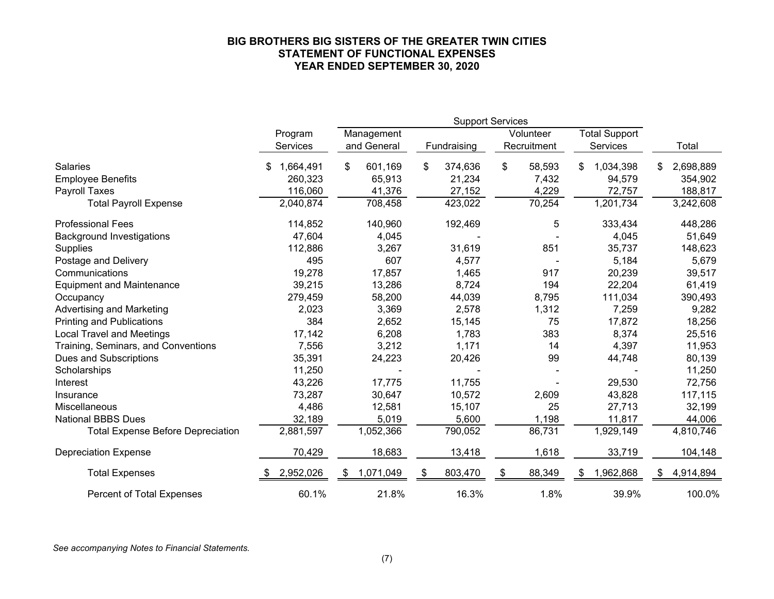#### **BIG BROTHERS BIG SISTERS OF THE GREATER TWIN CITIES STATEMENT OF FUNCTIONAL EXPENSES YEAR ENDED SEPTEMBER 30, 2020**

|                                          | <b>Support Services</b> |                 |               |              |                      |                 |
|------------------------------------------|-------------------------|-----------------|---------------|--------------|----------------------|-----------------|
|                                          | Program                 | Management      |               | Volunteer    | <b>Total Support</b> |                 |
|                                          | Services                | and General     | Fundraising   | Recruitment  | Services             | Total           |
| Salaries                                 | 1,664,491               | \$<br>601,169   | \$<br>374,636 | \$<br>58,593 | 1,034,398<br>\$      | 2,698,889<br>\$ |
| <b>Employee Benefits</b>                 | 260,323                 | 65,913          | 21,234        | 7,432        | 94,579               | 354,902         |
| <b>Payroll Taxes</b>                     | 116,060                 | 41,376          | 27,152        | 4,229        | 72,757               | 188,817         |
| <b>Total Payroll Expense</b>             | 2,040,874               | 708,458         | 423,022       | 70,254       | 1,201,734            | 3,242,608       |
| <b>Professional Fees</b>                 | 114,852                 | 140,960         | 192,469       | 5            | 333,434              | 448,286         |
| <b>Background Investigations</b>         | 47,604                  | 4,045           |               |              | 4,045                | 51,649          |
| <b>Supplies</b>                          | 112,886                 | 3,267           | 31,619        | 851          | 35,737               | 148,623         |
| Postage and Delivery                     | 495                     | 607             | 4,577         |              | 5,184                | 5,679           |
| Communications                           | 19,278                  | 17,857          | 1,465         | 917          | 20,239               | 39,517          |
| <b>Equipment and Maintenance</b>         | 39,215                  | 13,286          | 8,724         | 194          | 22,204               | 61,419          |
| Occupancy                                | 279,459                 | 58,200          | 44,039        | 8,795        | 111,034              | 390,493         |
| <b>Advertising and Marketing</b>         | 2,023                   | 3,369           | 2,578         | 1,312        | 7,259                | 9,282           |
| <b>Printing and Publications</b>         | 384                     | 2,652           | 15,145        | 75           | 17,872               | 18,256          |
| <b>Local Travel and Meetings</b>         | 17,142                  | 6,208           | 1,783         | 383          | 8,374                | 25,516          |
| Training, Seminars, and Conventions      | 7,556                   | 3,212           | 1,171         | 14           | 4,397                | 11,953          |
| <b>Dues and Subscriptions</b>            | 35,391                  | 24,223          | 20,426        | 99           | 44,748               | 80,139          |
| Scholarships                             | 11,250                  |                 |               |              |                      | 11,250          |
| Interest                                 | 43,226                  | 17,775          | 11,755        |              | 29,530               | 72,756          |
| Insurance                                | 73,287                  | 30,647          | 10,572        | 2,609        | 43,828               | 117,115         |
| Miscellaneous                            | 4,486                   | 12,581          | 15,107        | 25           | 27,713               | 32,199          |
| <b>National BBBS Dues</b>                | 32,189                  | 5,019           | 5,600         | 1,198        | 11,817               | 44,006          |
| <b>Total Expense Before Depreciation</b> | 2,881,597               | 1,052,366       | 790,052       | 86,731       | 1,929,149            | 4,810,746       |
| <b>Depreciation Expense</b>              | 70,429                  | 18,683          | 13,418        | 1,618        | 33,719               | 104,148         |
| <b>Total Expenses</b>                    | 2,952,026               | 1,071,049<br>S. | 803,470<br>S  | 88,349<br>S  | 1,962,868<br>- \$    | 4,914,894<br>S. |
| <b>Percent of Total Expenses</b>         | 60.1%                   | 21.8%           | 16.3%         | 1.8%         | 39.9%                | 100.0%          |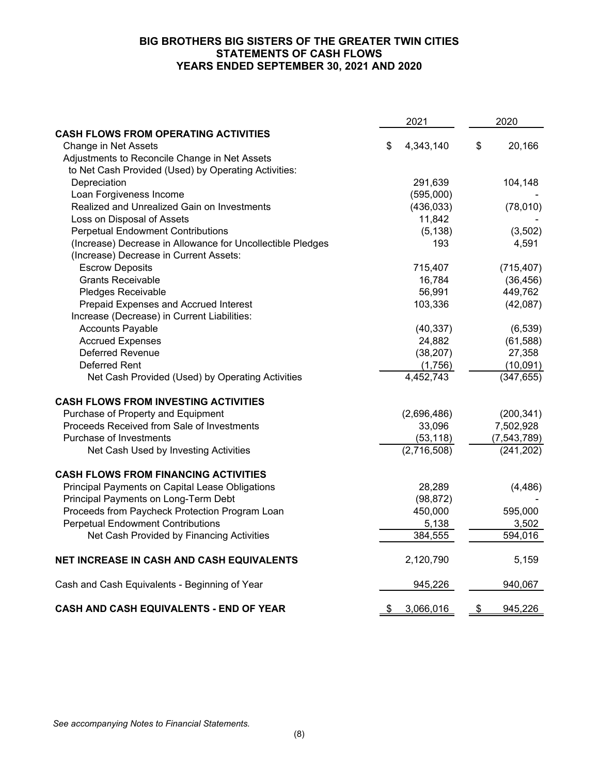## **BIG BROTHERS BIG SISTERS OF THE GREATER TWIN CITIES STATEMENTS OF CASH FLOWS YEARS ENDED SEPTEMBER 30, 2021 AND 2020**

|                                                            |    | 2021        | 2020          |             |
|------------------------------------------------------------|----|-------------|---------------|-------------|
| <b>CASH FLOWS FROM OPERATING ACTIVITIES</b>                |    |             |               |             |
| Change in Net Assets                                       | \$ | 4,343,140   | \$            | 20,166      |
| Adjustments to Reconcile Change in Net Assets              |    |             |               |             |
| to Net Cash Provided (Used) by Operating Activities:       |    |             |               |             |
| Depreciation                                               |    | 291,639     |               | 104,148     |
| Loan Forgiveness Income                                    |    | (595,000)   |               |             |
| Realized and Unrealized Gain on Investments                |    | (436, 033)  |               | (78,010)    |
| Loss on Disposal of Assets                                 |    | 11,842      |               |             |
| <b>Perpetual Endowment Contributions</b>                   |    | (5, 138)    |               | (3,502)     |
| (Increase) Decrease in Allowance for Uncollectible Pledges |    | 193         |               | 4,591       |
| (Increase) Decrease in Current Assets:                     |    |             |               |             |
| <b>Escrow Deposits</b>                                     |    | 715,407     |               | (715, 407)  |
| <b>Grants Receivable</b>                                   |    | 16,784      |               | (36, 456)   |
| Pledges Receivable                                         |    | 56,991      |               | 449,762     |
| Prepaid Expenses and Accrued Interest                      |    | 103,336     |               | (42,087)    |
| Increase (Decrease) in Current Liabilities:                |    |             |               |             |
| <b>Accounts Payable</b>                                    |    | (40, 337)   |               | (6, 539)    |
| <b>Accrued Expenses</b>                                    |    | 24,882      |               | (61, 588)   |
| Deferred Revenue                                           |    | (38, 207)   |               | 27,358      |
| <b>Deferred Rent</b>                                       |    | (1,756)     |               | (10,091)    |
| Net Cash Provided (Used) by Operating Activities           |    | 4,452,743   |               | (347, 655)  |
| <b>CASH FLOWS FROM INVESTING ACTIVITIES</b>                |    |             |               |             |
| Purchase of Property and Equipment                         |    | (2,696,486) |               | (200, 341)  |
| Proceeds Received from Sale of Investments                 |    | 33,096      |               | 7,502,928   |
| Purchase of Investments                                    |    | (53, 118)   |               | (7,543,789) |
| Net Cash Used by Investing Activities                      |    | (2,716,508) |               | (241, 202)  |
| <b>CASH FLOWS FROM FINANCING ACTIVITIES</b>                |    |             |               |             |
| Principal Payments on Capital Lease Obligations            |    | 28,289      |               | (4, 486)    |
| Principal Payments on Long-Term Debt                       |    | (98, 872)   |               |             |
| Proceeds from Paycheck Protection Program Loan             |    | 450,000     |               | 595,000     |
| <b>Perpetual Endowment Contributions</b>                   |    | 5,138       |               | 3,502       |
| Net Cash Provided by Financing Activities                  |    | 384,555     |               | 594,016     |
| NET INCREASE IN CASH AND CASH EQUIVALENTS                  |    | 2,120,790   |               | 5,159       |
| Cash and Cash Equivalents - Beginning of Year              |    | 945,226     |               | 940,067     |
| <b>CASH AND CASH EQUIVALENTS - END OF YEAR</b>             | \$ | 3,066,016   | $\frac{1}{2}$ | 945,226     |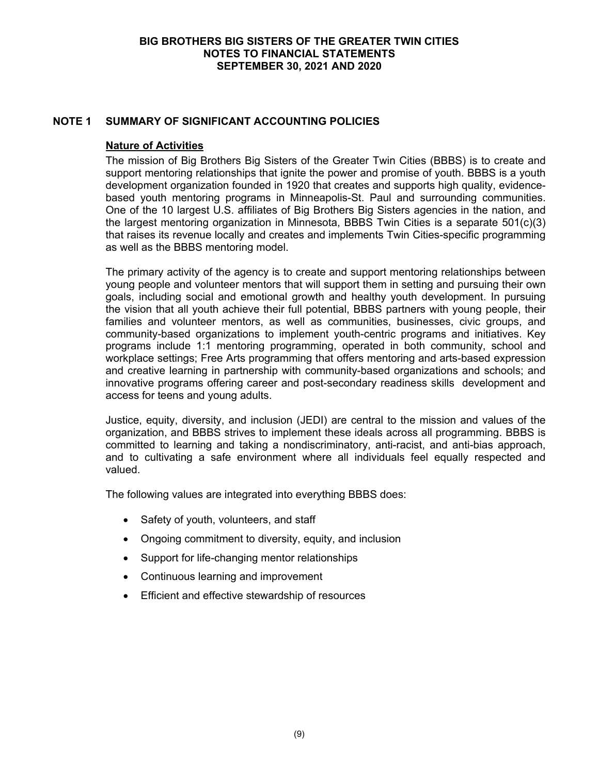# **NOTE 1 SUMMARY OF SIGNIFICANT ACCOUNTING POLICIES**

## **Nature of Activities**

The mission of Big Brothers Big Sisters of the Greater Twin Cities (BBBS) is to create and support mentoring relationships that ignite the power and promise of youth. BBBS is a youth development organization founded in 1920 that creates and supports high quality, evidencebased youth mentoring programs in Minneapolis-St. Paul and surrounding communities. One of the 10 largest U.S. affiliates of Big Brothers Big Sisters agencies in the nation, and the largest mentoring organization in Minnesota, BBBS Twin Cities is a separate 501(c)(3) that raises its revenue locally and creates and implements Twin Cities-specific programming as well as the BBBS mentoring model.

The primary activity of the agency is to create and support mentoring relationships between young people and volunteer mentors that will support them in setting and pursuing their own goals, including social and emotional growth and healthy youth development. In pursuing the vision that all youth achieve their full potential, BBBS partners with young people, their families and volunteer mentors, as well as communities, businesses, civic groups, and community-based organizations to implement youth-centric programs and initiatives. Key programs include 1:1 mentoring programming, operated in both community, school and workplace settings; Free Arts programming that offers mentoring and arts-based expression and creative learning in partnership with community-based organizations and schools; and innovative programs offering career and post-secondary readiness skills development and access for teens and young adults.

Justice, equity, diversity, and inclusion (JEDI) are central to the mission and values of the organization, and BBBS strives to implement these ideals across all programming. BBBS is committed to learning and taking a nondiscriminatory, anti-racist, and anti-bias approach, and to cultivating a safe environment where all individuals feel equally respected and valued.

The following values are integrated into everything BBBS does:

- Safety of youth, volunteers, and staff
- Ongoing commitment to diversity, equity, and inclusion
- Support for life-changing mentor relationships
- Continuous learning and improvement
- Efficient and effective stewardship of resources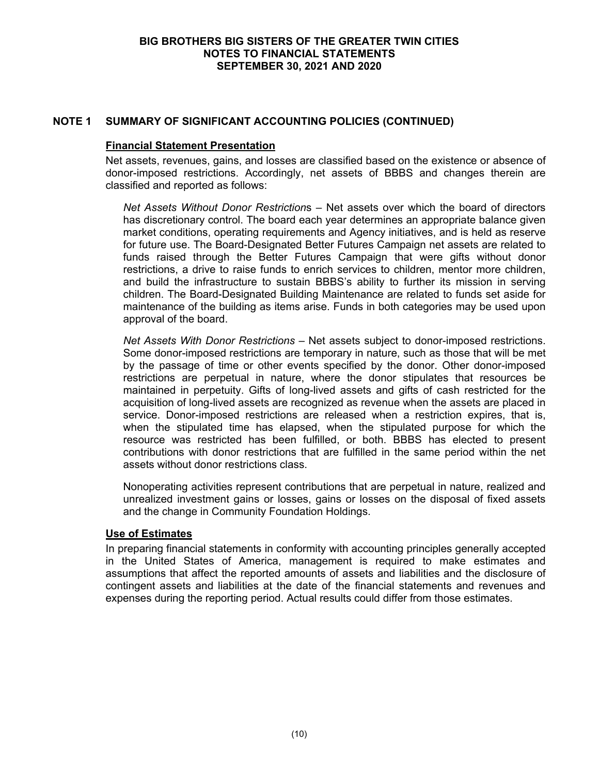# **NOTE 1 SUMMARY OF SIGNIFICANT ACCOUNTING POLICIES (CONTINUED)**

### **Financial Statement Presentation**

Net assets, revenues, gains, and losses are classified based on the existence or absence of donor-imposed restrictions. Accordingly, net assets of BBBS and changes therein are classified and reported as follows:

*Net Assets Without Donor Restriction*s – Net assets over which the board of directors has discretionary control. The board each year determines an appropriate balance given market conditions, operating requirements and Agency initiatives, and is held as reserve for future use. The Board-Designated Better Futures Campaign net assets are related to funds raised through the Better Futures Campaign that were gifts without donor restrictions, a drive to raise funds to enrich services to children, mentor more children, and build the infrastructure to sustain BBBS's ability to further its mission in serving children. The Board-Designated Building Maintenance are related to funds set aside for maintenance of the building as items arise. Funds in both categories may be used upon approval of the board.

*Net Assets With Donor Restrictions* – Net assets subject to donor-imposed restrictions. Some donor-imposed restrictions are temporary in nature, such as those that will be met by the passage of time or other events specified by the donor. Other donor-imposed restrictions are perpetual in nature, where the donor stipulates that resources be maintained in perpetuity. Gifts of long-lived assets and gifts of cash restricted for the acquisition of long-lived assets are recognized as revenue when the assets are placed in service. Donor-imposed restrictions are released when a restriction expires. that is. when the stipulated time has elapsed, when the stipulated purpose for which the resource was restricted has been fulfilled, or both. BBBS has elected to present contributions with donor restrictions that are fulfilled in the same period within the net assets without donor restrictions class.

Nonoperating activities represent contributions that are perpetual in nature, realized and unrealized investment gains or losses, gains or losses on the disposal of fixed assets and the change in Community Foundation Holdings.

## **Use of Estimates**

In preparing financial statements in conformity with accounting principles generally accepted in the United States of America, management is required to make estimates and assumptions that affect the reported amounts of assets and liabilities and the disclosure of contingent assets and liabilities at the date of the financial statements and revenues and expenses during the reporting period. Actual results could differ from those estimates.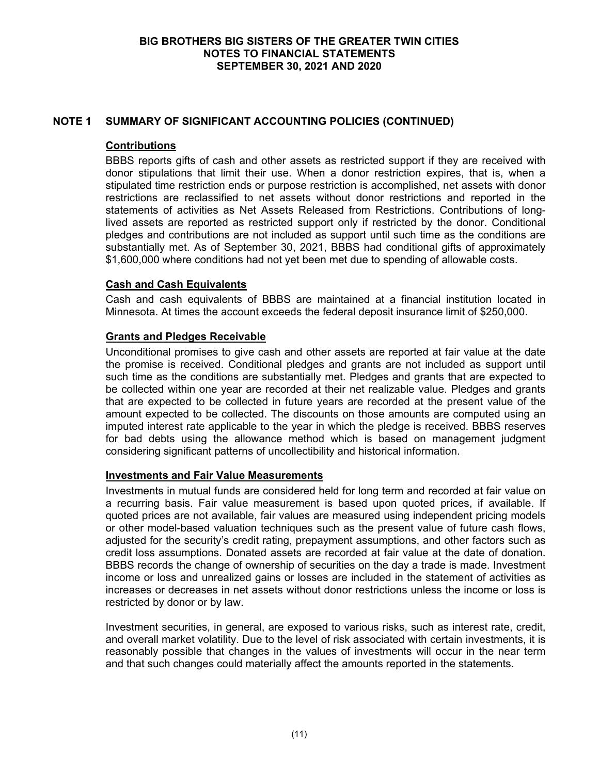# **NOTE 1 SUMMARY OF SIGNIFICANT ACCOUNTING POLICIES (CONTINUED)**

## **Contributions**

BBBS reports gifts of cash and other assets as restricted support if they are received with donor stipulations that limit their use. When a donor restriction expires, that is, when a stipulated time restriction ends or purpose restriction is accomplished, net assets with donor restrictions are reclassified to net assets without donor restrictions and reported in the statements of activities as Net Assets Released from Restrictions. Contributions of longlived assets are reported as restricted support only if restricted by the donor. Conditional pledges and contributions are not included as support until such time as the conditions are substantially met. As of September 30, 2021, BBBS had conditional gifts of approximately \$1,600,000 where conditions had not yet been met due to spending of allowable costs.

# **Cash and Cash Equivalents**

Cash and cash equivalents of BBBS are maintained at a financial institution located in Minnesota. At times the account exceeds the federal deposit insurance limit of \$250,000.

# **Grants and Pledges Receivable**

Unconditional promises to give cash and other assets are reported at fair value at the date the promise is received. Conditional pledges and grants are not included as support until such time as the conditions are substantially met. Pledges and grants that are expected to be collected within one year are recorded at their net realizable value. Pledges and grants that are expected to be collected in future years are recorded at the present value of the amount expected to be collected. The discounts on those amounts are computed using an imputed interest rate applicable to the year in which the pledge is received. BBBS reserves for bad debts using the allowance method which is based on management judgment considering significant patterns of uncollectibility and historical information.

## **Investments and Fair Value Measurements**

Investments in mutual funds are considered held for long term and recorded at fair value on a recurring basis. Fair value measurement is based upon quoted prices, if available. If quoted prices are not available, fair values are measured using independent pricing models or other model-based valuation techniques such as the present value of future cash flows, adjusted for the security's credit rating, prepayment assumptions, and other factors such as credit loss assumptions. Donated assets are recorded at fair value at the date of donation. BBBS records the change of ownership of securities on the day a trade is made. Investment income or loss and unrealized gains or losses are included in the statement of activities as increases or decreases in net assets without donor restrictions unless the income or loss is restricted by donor or by law.

Investment securities, in general, are exposed to various risks, such as interest rate, credit, and overall market volatility. Due to the level of risk associated with certain investments, it is reasonably possible that changes in the values of investments will occur in the near term and that such changes could materially affect the amounts reported in the statements.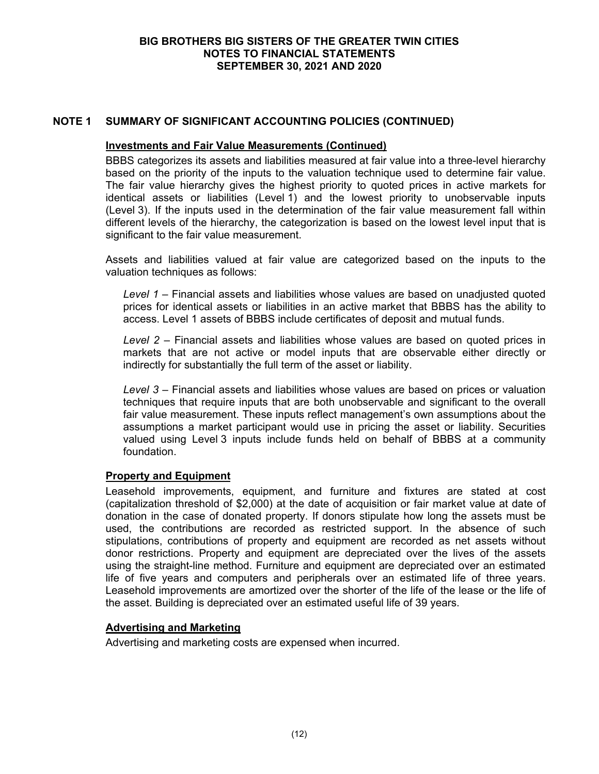# **NOTE 1 SUMMARY OF SIGNIFICANT ACCOUNTING POLICIES (CONTINUED)**

#### **Investments and Fair Value Measurements (Continued)**

BBBS categorizes its assets and liabilities measured at fair value into a three-level hierarchy based on the priority of the inputs to the valuation technique used to determine fair value. The fair value hierarchy gives the highest priority to quoted prices in active markets for identical assets or liabilities (Level 1) and the lowest priority to unobservable inputs (Level 3). If the inputs used in the determination of the fair value measurement fall within different levels of the hierarchy, the categorization is based on the lowest level input that is significant to the fair value measurement.

Assets and liabilities valued at fair value are categorized based on the inputs to the valuation techniques as follows:

*Level 1* – Financial assets and liabilities whose values are based on unadjusted quoted prices for identical assets or liabilities in an active market that BBBS has the ability to access. Level 1 assets of BBBS include certificates of deposit and mutual funds.

*Level 2* – Financial assets and liabilities whose values are based on quoted prices in markets that are not active or model inputs that are observable either directly or indirectly for substantially the full term of the asset or liability.

*Level 3* – Financial assets and liabilities whose values are based on prices or valuation techniques that require inputs that are both unobservable and significant to the overall fair value measurement. These inputs reflect management's own assumptions about the assumptions a market participant would use in pricing the asset or liability. Securities valued using Level 3 inputs include funds held on behalf of BBBS at a community foundation.

## **Property and Equipment**

Leasehold improvements, equipment, and furniture and fixtures are stated at cost (capitalization threshold of \$2,000) at the date of acquisition or fair market value at date of donation in the case of donated property. If donors stipulate how long the assets must be used, the contributions are recorded as restricted support. In the absence of such stipulations, contributions of property and equipment are recorded as net assets without donor restrictions. Property and equipment are depreciated over the lives of the assets using the straight-line method. Furniture and equipment are depreciated over an estimated life of five years and computers and peripherals over an estimated life of three years. Leasehold improvements are amortized over the shorter of the life of the lease or the life of the asset. Building is depreciated over an estimated useful life of 39 years.

## **Advertising and Marketing**

Advertising and marketing costs are expensed when incurred.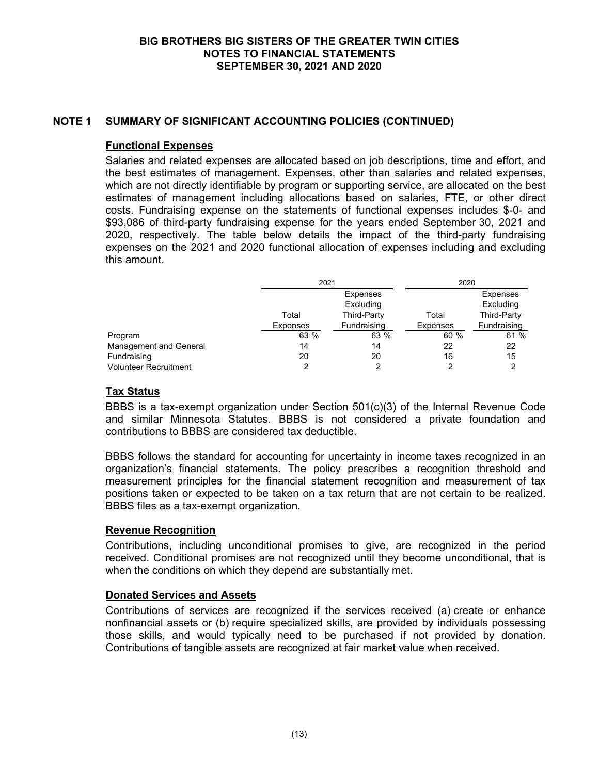# **NOTE 1 SUMMARY OF SIGNIFICANT ACCOUNTING POLICIES (CONTINUED)**

# **Functional Expenses**

Salaries and related expenses are allocated based on job descriptions, time and effort, and the best estimates of management. Expenses, other than salaries and related expenses, which are not directly identifiable by program or supporting service, are allocated on the best estimates of management including allocations based on salaries, FTE, or other direct costs. Fundraising expense on the statements of functional expenses includes \$-0- and \$93,086 of third-party fundraising expense for the years ended September 30, 2021 and 2020, respectively. The table below details the impact of the third-party fundraising expenses on the 2021 and 2020 functional allocation of expenses including and excluding this amount.

|                              | 2021            |                    | 2020            |             |  |
|------------------------------|-----------------|--------------------|-----------------|-------------|--|
|                              |                 | Expenses           |                 | Expenses    |  |
|                              |                 | Excluding          |                 | Excluding   |  |
|                              | Total           | <b>Third-Party</b> | Total           | Third-Party |  |
|                              | <b>Expenses</b> | Fundraising        | <b>Expenses</b> | Fundraising |  |
| Program                      | 63 %            | 63 %               | 60 %            | 61 %        |  |
| Management and General       | 14              | 14                 | 22              | 22          |  |
| Fundraising                  | 20              | 20                 | 16              | 15          |  |
| <b>Volunteer Recruitment</b> |                 | າ                  | 2               |             |  |

# **Tax Status**

BBBS is a tax-exempt organization under Section 501(c)(3) of the Internal Revenue Code and similar Minnesota Statutes. BBBS is not considered a private foundation and contributions to BBBS are considered tax deductible.

BBBS follows the standard for accounting for uncertainty in income taxes recognized in an organization's financial statements. The policy prescribes a recognition threshold and measurement principles for the financial statement recognition and measurement of tax positions taken or expected to be taken on a tax return that are not certain to be realized. BBBS files as a tax-exempt organization.

# **Revenue Recognition**

Contributions, including unconditional promises to give, are recognized in the period received. Conditional promises are not recognized until they become unconditional, that is when the conditions on which they depend are substantially met.

# **Donated Services and Assets**

Contributions of services are recognized if the services received (a) create or enhance nonfinancial assets or (b) require specialized skills, are provided by individuals possessing those skills, and would typically need to be purchased if not provided by donation. Contributions of tangible assets are recognized at fair market value when received.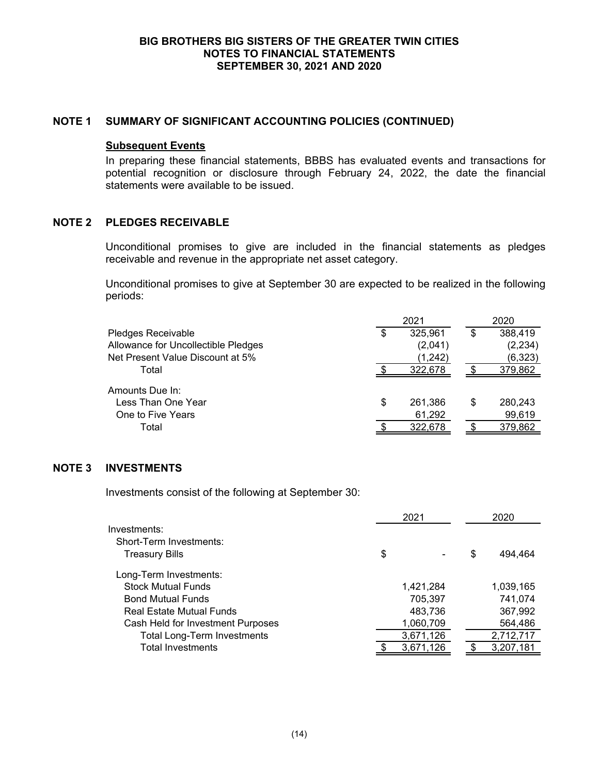## **NOTE 1 SUMMARY OF SIGNIFICANT ACCOUNTING POLICIES (CONTINUED)**

#### **Subsequent Events**

In preparing these financial statements, BBBS has evaluated events and transactions for potential recognition or disclosure through February 24, 2022, the date the financial statements were available to be issued.

# **NOTE 2 PLEDGES RECEIVABLE**

Unconditional promises to give are included in the financial statements as pledges receivable and revenue in the appropriate net asset category.

Unconditional promises to give at September 30 are expected to be realized in the following periods:

|                                     | 2021 |          |    | 2020     |  |  |
|-------------------------------------|------|----------|----|----------|--|--|
| Pledges Receivable                  | \$   | 325,961  | \$ | 388,419  |  |  |
| Allowance for Uncollectible Pledges |      | (2,041)  |    | (2, 234) |  |  |
| Net Present Value Discount at 5%    |      | (1, 242) |    | (6, 323) |  |  |
| Total                               |      | 322,678  |    | 379,862  |  |  |
| Amounts Due In:                     |      |          |    |          |  |  |
| Less Than One Year                  | \$   | 261,386  | S  | 280,243  |  |  |
| One to Five Years                   |      | 61,292   |    | 99,619   |  |  |
| Total                               |      | 322,678  |    | 379,862  |  |  |
|                                     |      |          |    |          |  |  |

## **NOTE 3 INVESTMENTS**

Investments consist of the following at September 30:

|                                    | 2021 |           |   | 2020      |  |  |
|------------------------------------|------|-----------|---|-----------|--|--|
| Investments:                       |      |           |   |           |  |  |
| Short-Term Investments:            |      |           |   |           |  |  |
| <b>Treasury Bills</b>              | \$   |           | S | 494,464   |  |  |
| Long-Term Investments:             |      |           |   |           |  |  |
| <b>Stock Mutual Funds</b>          |      | 1,421,284 |   | 1,039,165 |  |  |
| <b>Bond Mutual Funds</b>           |      | 705,397   |   | 741,074   |  |  |
| Real Estate Mutual Funds           |      | 483,736   |   | 367,992   |  |  |
| Cash Held for Investment Purposes  |      | 1,060,709 |   | 564,486   |  |  |
| <b>Total Long-Term Investments</b> |      | 3,671,126 |   | 2,712,717 |  |  |
| <b>Total Investments</b>           |      | 3,671,126 |   | 3,207,181 |  |  |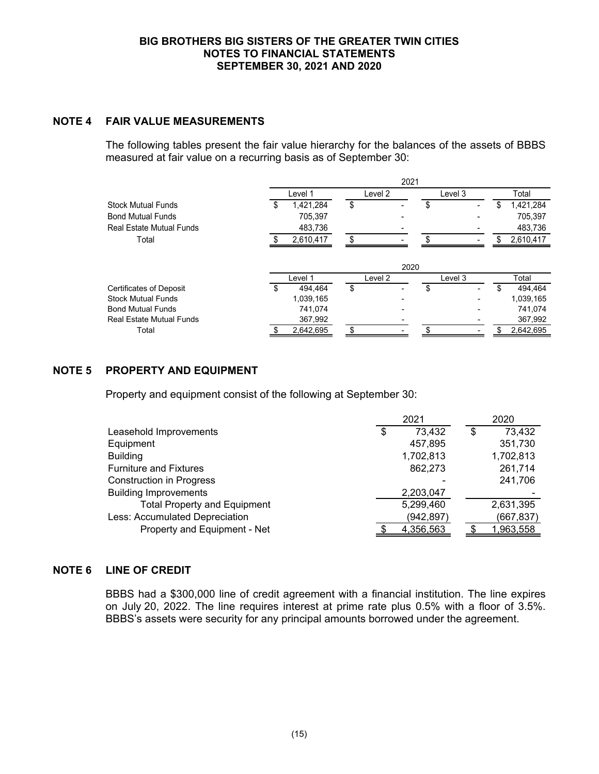# **NOTE 4 FAIR VALUE MEASUREMENTS**

The following tables present the fair value hierarchy for the balances of the assets of BBBS measured at fair value on a recurring basis as of September 30:

|                                 | 2021 |           |    |         |                      |    |           |
|---------------------------------|------|-----------|----|---------|----------------------|----|-----------|
|                                 |      | Level 1   |    | Level 2 | Level 3              |    | Total     |
| <b>Stock Mutual Funds</b>       | \$   | 1,421,284 | \$ |         | \$<br>$\blacksquare$ | \$ | 1,421,284 |
| <b>Bond Mutual Funds</b>        |      | 705.397   |    |         |                      |    | 705,397   |
| <b>Real Estate Mutual Funds</b> |      | 483,736   |    |         |                      |    | 483,736   |
| Total                           |      | 2,610,417 | ደ  |         |                      | S  | 2,610,417 |
|                                 |      |           |    | 2020    |                      |    |           |
|                                 |      | Level 1   |    | Level 2 | Level 3              |    | Total     |
| <b>Certificates of Deposit</b>  | \$   | 494.464   | \$ |         | \$                   |    | 494.464   |
| <b>Stock Mutual Funds</b>       |      | 1,039,165 |    |         |                      |    | 1,039,165 |
| <b>Bond Mutual Funds</b>        |      | 741.074   |    |         |                      |    | 741.074   |
| <b>Real Estate Mutual Funds</b> |      | 367,992   |    |         |                      |    | 367,992   |
| Total                           |      | 2,642,695 | \$ |         |                      | S  | 2,642,695 |

# **NOTE 5 PROPERTY AND EQUIPMENT**

Property and equipment consist of the following at September 30:

|                                     | 2021 |            |   | 2020       |
|-------------------------------------|------|------------|---|------------|
| Leasehold Improvements              | \$   | 73,432     | S | 73,432     |
| Equipment                           |      | 457,895    |   | 351,730    |
| <b>Building</b>                     |      | 1,702,813  |   | 1,702,813  |
| <b>Furniture and Fixtures</b>       |      | 862,273    |   | 261,714    |
| <b>Construction in Progress</b>     |      |            |   | 241,706    |
| <b>Building Improvements</b>        |      | 2,203,047  |   |            |
| <b>Total Property and Equipment</b> |      | 5,299,460  |   | 2,631,395  |
| Less: Accumulated Depreciation      |      | (942, 897) |   | (667, 837) |
| Property and Equipment - Net        |      | 4,356,563  |   | 1,963,558  |

# **NOTE 6 LINE OF CREDIT**

BBBS had a \$300,000 line of credit agreement with a financial institution. The line expires on July 20, 2022. The line requires interest at prime rate plus 0.5% with a floor of 3.5%. BBBS's assets were security for any principal amounts borrowed under the agreement.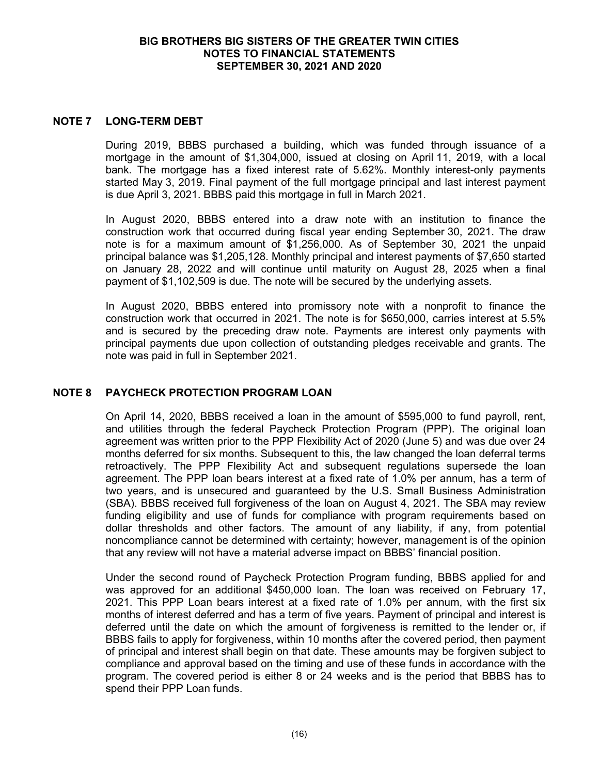## **NOTE 7 LONG-TERM DEBT**

During 2019, BBBS purchased a building, which was funded through issuance of a mortgage in the amount of \$1,304,000, issued at closing on April 11, 2019, with a local bank. The mortgage has a fixed interest rate of 5.62%. Monthly interest-only payments started May 3, 2019. Final payment of the full mortgage principal and last interest payment is due April 3, 2021. BBBS paid this mortgage in full in March 2021.

In August 2020, BBBS entered into a draw note with an institution to finance the construction work that occurred during fiscal year ending September 30, 2021. The draw note is for a maximum amount of \$1,256,000. As of September 30, 2021 the unpaid principal balance was \$1,205,128. Monthly principal and interest payments of \$7,650 started on January 28, 2022 and will continue until maturity on August 28, 2025 when a final payment of \$1,102,509 is due. The note will be secured by the underlying assets.

In August 2020, BBBS entered into promissory note with a nonprofit to finance the construction work that occurred in 2021. The note is for \$650,000, carries interest at 5.5% and is secured by the preceding draw note. Payments are interest only payments with principal payments due upon collection of outstanding pledges receivable and grants. The note was paid in full in September 2021.

## **NOTE 8 PAYCHECK PROTECTION PROGRAM LOAN**

On April 14, 2020, BBBS received a loan in the amount of \$595,000 to fund payroll, rent, and utilities through the federal Paycheck Protection Program (PPP). The original loan agreement was written prior to the PPP Flexibility Act of 2020 (June 5) and was due over 24 months deferred for six months. Subsequent to this, the law changed the loan deferral terms retroactively. The PPP Flexibility Act and subsequent regulations supersede the loan agreement. The PPP loan bears interest at a fixed rate of 1.0% per annum, has a term of two years, and is unsecured and guaranteed by the U.S. Small Business Administration (SBA). BBBS received full forgiveness of the loan on August 4, 2021. The SBA may review funding eligibility and use of funds for compliance with program requirements based on dollar thresholds and other factors. The amount of any liability, if any, from potential noncompliance cannot be determined with certainty; however, management is of the opinion that any review will not have a material adverse impact on BBBS' financial position.

Under the second round of Paycheck Protection Program funding, BBBS applied for and was approved for an additional \$450,000 loan. The loan was received on February 17, 2021. This PPP Loan bears interest at a fixed rate of 1.0% per annum, with the first six months of interest deferred and has a term of five years. Payment of principal and interest is deferred until the date on which the amount of forgiveness is remitted to the lender or, if BBBS fails to apply for forgiveness, within 10 months after the covered period, then payment of principal and interest shall begin on that date. These amounts may be forgiven subject to compliance and approval based on the timing and use of these funds in accordance with the program. The covered period is either 8 or 24 weeks and is the period that BBBS has to spend their PPP Loan funds.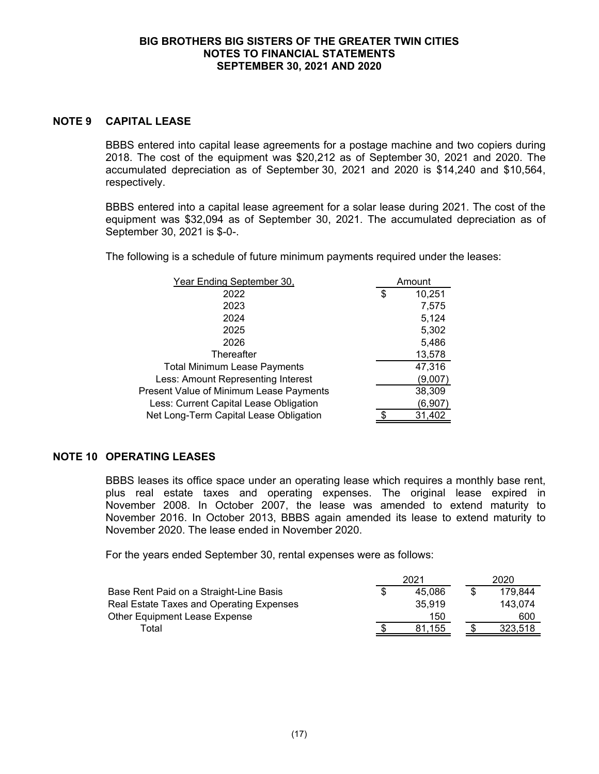## **NOTE 9 CAPITAL LEASE**

BBBS entered into capital lease agreements for a postage machine and two copiers during 2018. The cost of the equipment was \$20,212 as of September 30, 2021 and 2020. The accumulated depreciation as of September 30, 2021 and 2020 is \$14,240 and \$10,564, respectively.

BBBS entered into a capital lease agreement for a solar lease during 2021. The cost of the equipment was \$32,094 as of September 30, 2021. The accumulated depreciation as of September 30, 2021 is \$-0-.

The following is a schedule of future minimum payments required under the leases:

| Year Ending September 30,               | Amount       |
|-----------------------------------------|--------------|
| 2022                                    | \$<br>10,251 |
| 2023                                    | 7,575        |
| 2024                                    | 5,124        |
| 2025                                    | 5,302        |
| 2026                                    | 5,486        |
| Thereafter                              | 13,578       |
| <b>Total Minimum Lease Payments</b>     | 47,316       |
| Less: Amount Representing Interest      | (9,007)      |
| Present Value of Minimum Lease Payments | 38,309       |
| Less: Current Capital Lease Obligation  | (6,907)      |
| Net Long-Term Capital Lease Obligation  | 31,402       |

# **NOTE 10 OPERATING LEASES**

BBBS leases its office space under an operating lease which requires a monthly base rent, plus real estate taxes and operating expenses. The original lease expired in November 2008. In October 2007, the lease was amended to extend maturity to November 2016. In October 2013, BBBS again amended its lease to extend maturity to November 2020. The lease ended in November 2020.

For the years ended September 30, rental expenses were as follows:

|                                          | 2021   |  | 2020    |  |
|------------------------------------------|--------|--|---------|--|
| Base Rent Paid on a Straight-Line Basis  | 45.086 |  | 179.844 |  |
| Real Estate Taxes and Operating Expenses | 35.919 |  | 143.074 |  |
| Other Equipment Lease Expense            | 150    |  | 600     |  |
| $\tau$ otal                              | 81.155 |  | 323.518 |  |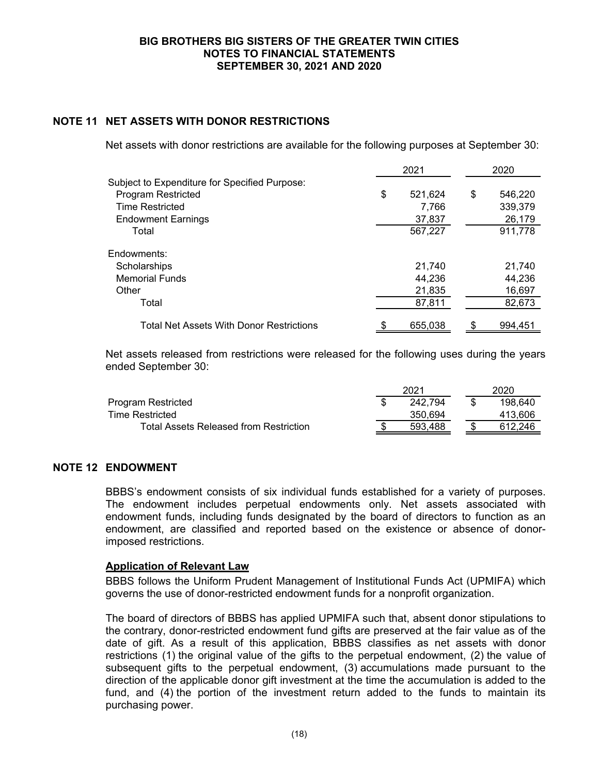# **NOTE 11 NET ASSETS WITH DONOR RESTRICTIONS**

Net assets with donor restrictions are available for the following purposes at September 30:

|                                               | 2021 |         | 2020          |
|-----------------------------------------------|------|---------|---------------|
| Subject to Expenditure for Specified Purpose: |      |         |               |
| <b>Program Restricted</b>                     | \$   | 521,624 | \$<br>546,220 |
| <b>Time Restricted</b>                        |      | 7,766   | 339,379       |
| <b>Endowment Earnings</b>                     |      | 37,837  | 26,179        |
| Total                                         |      | 567,227 | 911,778       |
| Endowments:                                   |      |         |               |
| Scholarships                                  |      | 21.740  | 21.740        |
| <b>Memorial Funds</b>                         |      | 44,236  | 44,236        |
| Other                                         |      | 21,835  | 16,697        |
| Total                                         |      | 87,811  | 82,673        |
| Total Net Assets With Donor Restrictions      |      | 655,038 | 994,451       |

Net assets released from restrictions were released for the following uses during the years ended September 30:

|                                        | 2021    |  | 2020    |  |
|----------------------------------------|---------|--|---------|--|
| Program Restricted                     | 242.794 |  | 198.640 |  |
| <b>Time Restricted</b>                 | 350.694 |  | 413.606 |  |
| Total Assets Released from Restriction | 593.488 |  | 612.246 |  |

## **NOTE 12 ENDOWMENT**

BBBS's endowment consists of six individual funds established for a variety of purposes. The endowment includes perpetual endowments only. Net assets associated with endowment funds, including funds designated by the board of directors to function as an endowment, are classified and reported based on the existence or absence of donorimposed restrictions.

## **Application of Relevant Law**

BBBS follows the Uniform Prudent Management of Institutional Funds Act (UPMIFA) which governs the use of donor-restricted endowment funds for a nonprofit organization.

The board of directors of BBBS has applied UPMIFA such that, absent donor stipulations to the contrary, donor-restricted endowment fund gifts are preserved at the fair value as of the date of gift. As a result of this application, BBBS classifies as net assets with donor restrictions (1) the original value of the gifts to the perpetual endowment, (2) the value of subsequent gifts to the perpetual endowment, (3) accumulations made pursuant to the direction of the applicable donor gift investment at the time the accumulation is added to the fund, and (4) the portion of the investment return added to the funds to maintain its purchasing power.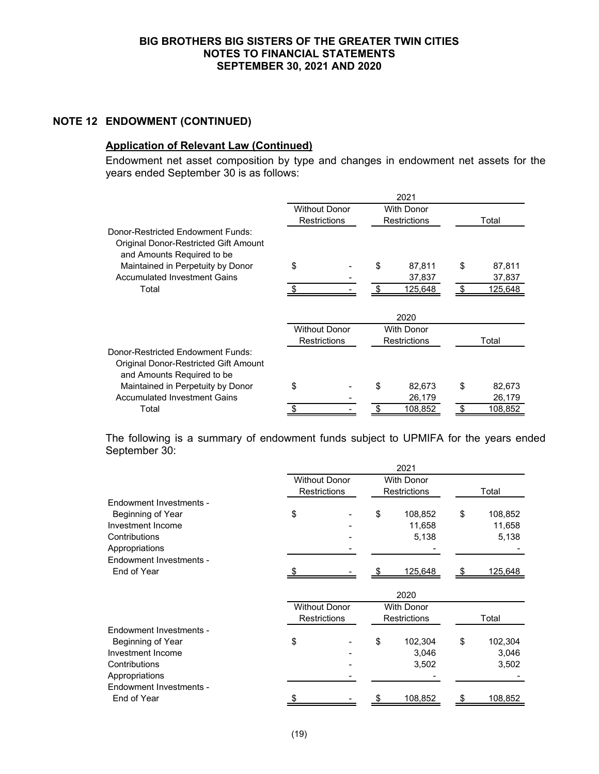# **NOTE 12 ENDOWMENT (CONTINUED)**

# **Application of Relevant Law (Continued)**

Endowment net asset composition by type and changes in endowment net assets for the years ended September 30 is as follows:

|                                                                                                          | 2021                 |                      |                     |                     |       |         |
|----------------------------------------------------------------------------------------------------------|----------------------|----------------------|---------------------|---------------------|-------|---------|
|                                                                                                          | <b>Without Donor</b> |                      | <b>With Donor</b>   |                     |       |         |
|                                                                                                          |                      | <b>Restrictions</b>  | <b>Restrictions</b> |                     | Total |         |
| Donor-Restricted Endowment Funds:                                                                        |                      |                      |                     |                     |       |         |
| Original Donor-Restricted Gift Amount<br>and Amounts Required to be                                      |                      |                      |                     |                     |       |         |
| Maintained in Perpetuity by Donor                                                                        | \$                   |                      | \$                  | 87,811              | \$    | 87,811  |
| <b>Accumulated Investment Gains</b>                                                                      |                      |                      |                     | 37,837              |       | 37,837  |
| Total                                                                                                    |                      |                      |                     | 125,648             |       | 125,648 |
|                                                                                                          |                      |                      |                     | 2020                |       |         |
|                                                                                                          |                      | <b>Without Donor</b> |                     | With Donor          |       |         |
|                                                                                                          |                      | <b>Restrictions</b>  |                     | <b>Restrictions</b> |       | Total   |
| Donor-Restricted Endowment Funds:<br>Original Donor-Restricted Gift Amount<br>and Amounts Required to be |                      |                      |                     |                     |       |         |
| Maintained in Perpetuity by Donor                                                                        | \$                   |                      | \$                  | 82,673              | \$    | 82,673  |
| <b>Accumulated Investment Gains</b>                                                                      |                      |                      |                     | 26,179              |       | 26,179  |
| Total                                                                                                    |                      |                      |                     | 108,852             |       | 108,852 |

The following is a summary of endowment funds subject to UPMIFA for the years ended September 30:

|                         | 2021                 |                     |                   |                     |       |         |  |
|-------------------------|----------------------|---------------------|-------------------|---------------------|-------|---------|--|
|                         | <b>Without Donor</b> |                     | <b>With Donor</b> |                     |       |         |  |
|                         |                      | <b>Restrictions</b> | Restrictions      |                     | Total |         |  |
| Endowment Investments - |                      |                     |                   |                     |       |         |  |
| Beginning of Year       | \$                   |                     | \$                | 108,852             | \$    | 108,852 |  |
| Investment Income       |                      |                     |                   | 11,658              |       | 11,658  |  |
| Contributions           |                      |                     |                   | 5,138               |       | 5,138   |  |
| Appropriations          |                      |                     |                   |                     |       |         |  |
| Endowment Investments - |                      |                     |                   |                     |       |         |  |
| End of Year             |                      |                     |                   | 125,648             |       | 125,648 |  |
|                         |                      |                     |                   |                     |       |         |  |
|                         |                      | 2020                |                   |                     |       |         |  |
|                         | <b>Without Donor</b> |                     | <b>With Donor</b> |                     |       |         |  |
|                         |                      | <b>Restrictions</b> |                   | <b>Restrictions</b> |       | Total   |  |
| Endowment Investments - |                      |                     |                   |                     |       |         |  |
| Beginning of Year       | \$                   |                     | \$                | 102,304             | \$    | 102,304 |  |
| Investment Income       |                      |                     |                   | 3,046               |       | 3,046   |  |
| Contributions           |                      |                     |                   | 3,502               |       | 3,502   |  |
| Appropriations          |                      |                     |                   |                     |       |         |  |
| Endowment Investments - |                      |                     |                   |                     |       |         |  |
| End of Year             |                      |                     |                   | 108,852             |       | 108,852 |  |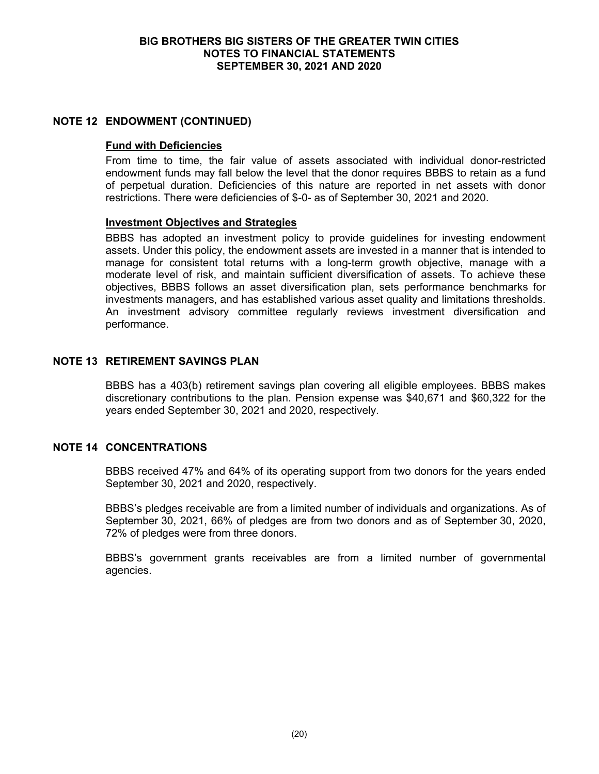## **NOTE 12 ENDOWMENT (CONTINUED)**

### **Fund with Deficiencies**

From time to time, the fair value of assets associated with individual donor-restricted endowment funds may fall below the level that the donor requires BBBS to retain as a fund of perpetual duration. Deficiencies of this nature are reported in net assets with donor restrictions. There were deficiencies of \$-0- as of September 30, 2021 and 2020.

## **Investment Objectives and Strategies**

BBBS has adopted an investment policy to provide guidelines for investing endowment assets. Under this policy, the endowment assets are invested in a manner that is intended to manage for consistent total returns with a long-term growth objective, manage with a moderate level of risk, and maintain sufficient diversification of assets. To achieve these objectives, BBBS follows an asset diversification plan, sets performance benchmarks for investments managers, and has established various asset quality and limitations thresholds. An investment advisory committee regularly reviews investment diversification and performance.

# **NOTE 13 RETIREMENT SAVINGS PLAN**

BBBS has a 403(b) retirement savings plan covering all eligible employees. BBBS makes discretionary contributions to the plan. Pension expense was \$40,671 and \$60,322 for the years ended September 30, 2021 and 2020, respectively.

## **NOTE 14 CONCENTRATIONS**

BBBS received 47% and 64% of its operating support from two donors for the years ended September 30, 2021 and 2020, respectively.

BBBS's pledges receivable are from a limited number of individuals and organizations. As of September 30, 2021, 66% of pledges are from two donors and as of September 30, 2020, 72% of pledges were from three donors.

BBBS's government grants receivables are from a limited number of governmental agencies.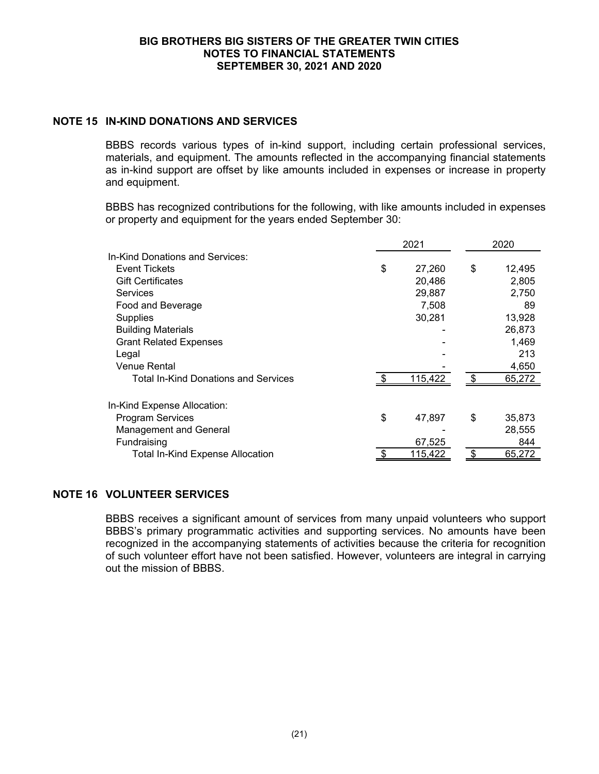# **NOTE 15 IN-KIND DONATIONS AND SERVICES**

BBBS records various types of in-kind support, including certain professional services, materials, and equipment. The amounts reflected in the accompanying financial statements as in-kind support are offset by like amounts included in expenses or increase in property and equipment.

BBBS has recognized contributions for the following, with like amounts included in expenses or property and equipment for the years ended September 30:

|                                         | 2021 |         |     | 2020   |  |
|-----------------------------------------|------|---------|-----|--------|--|
| In-Kind Donations and Services:         |      |         |     |        |  |
| <b>Event Tickets</b>                    | \$   | 27,260  | \$  | 12,495 |  |
| <b>Gift Certificates</b>                |      | 20,486  |     | 2,805  |  |
| <b>Services</b>                         |      | 29,887  |     | 2,750  |  |
| Food and Beverage                       |      | 7,508   |     | 89     |  |
| <b>Supplies</b>                         |      | 30,281  |     | 13,928 |  |
| <b>Building Materials</b>               |      |         |     | 26,873 |  |
| <b>Grant Related Expenses</b>           |      |         |     | 1,469  |  |
| Legal                                   |      |         |     | 213    |  |
| Venue Rental                            |      |         |     | 4,650  |  |
| Total In-Kind Donations and Services    |      | 115,422 | \$. | 65,272 |  |
| In-Kind Expense Allocation:             |      |         |     |        |  |
| <b>Program Services</b>                 | \$   | 47,897  | \$  | 35,873 |  |
| <b>Management and General</b>           |      |         |     | 28,555 |  |
| Fundraising                             |      | 67,525  |     | 844    |  |
| <b>Total In-Kind Expense Allocation</b> |      | 115,422 |     | 65,272 |  |

# **NOTE 16 VOLUNTEER SERVICES**

BBBS receives a significant amount of services from many unpaid volunteers who support BBBS's primary programmatic activities and supporting services. No amounts have been recognized in the accompanying statements of activities because the criteria for recognition of such volunteer effort have not been satisfied. However, volunteers are integral in carrying out the mission of BBBS.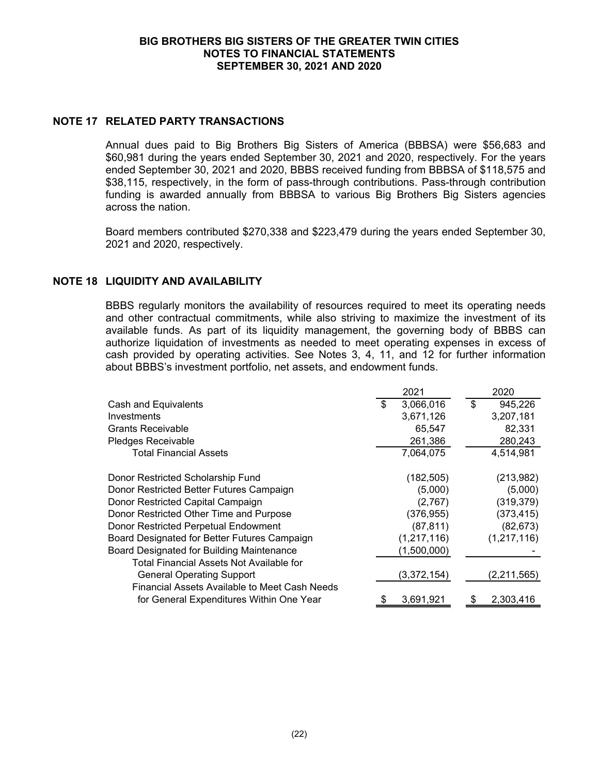# **NOTE 17 RELATED PARTY TRANSACTIONS**

Annual dues paid to Big Brothers Big Sisters of America (BBBSA) were \$56,683 and \$60,981 during the years ended September 30, 2021 and 2020, respectively. For the years ended September 30, 2021 and 2020, BBBS received funding from BBBSA of \$118,575 and \$38,115, respectively, in the form of pass-through contributions. Pass-through contribution funding is awarded annually from BBBSA to various Big Brothers Big Sisters agencies across the nation.

Board members contributed \$270,338 and \$223,479 during the years ended September 30, 2021 and 2020, respectively.

# **NOTE 18 LIQUIDITY AND AVAILABILITY**

BBBS regularly monitors the availability of resources required to meet its operating needs and other contractual commitments, while also striving to maximize the investment of its available funds. As part of its liquidity management, the governing body of BBBS can authorize liquidation of investments as needed to meet operating expenses in excess of cash provided by operating activities. See Notes 3, 4, 11, and 12 for further information about BBBS's investment portfolio, net assets, and endowment funds.

|                                               | 2021            | 2020          |
|-----------------------------------------------|-----------------|---------------|
| Cash and Equivalents                          | \$<br>3,066,016 | \$<br>945,226 |
| Investments                                   | 3,671,126       | 3,207,181     |
| <b>Grants Receivable</b>                      | 65,547          | 82,331        |
| Pledges Receivable                            | 261,386         | 280,243       |
| <b>Total Financial Assets</b>                 | 7,064,075       | 4,514,981     |
| Donor Restricted Scholarship Fund             | (182, 505)      | (213,982)     |
| Donor Restricted Better Futures Campaign      | (5,000)         | (5,000)       |
| Donor Restricted Capital Campaign             | (2,767)         | (319, 379)    |
| Donor Restricted Other Time and Purpose       | (376, 955)      | (373, 415)    |
| Donor Restricted Perpetual Endowment          | (87, 811)       | (82, 673)     |
| Board Designated for Better Futures Campaign  | (1, 217, 116)   | (1, 217, 116) |
| Board Designated for Building Maintenance     | (1,500,000)     |               |
| Total Financial Assets Not Available for      |                 |               |
| <b>General Operating Support</b>              | (3,372,154)     | (2, 211, 565) |
| Financial Assets Available to Meet Cash Needs |                 |               |
| for General Expenditures Within One Year      | 3,691,921       | 2.303.416     |